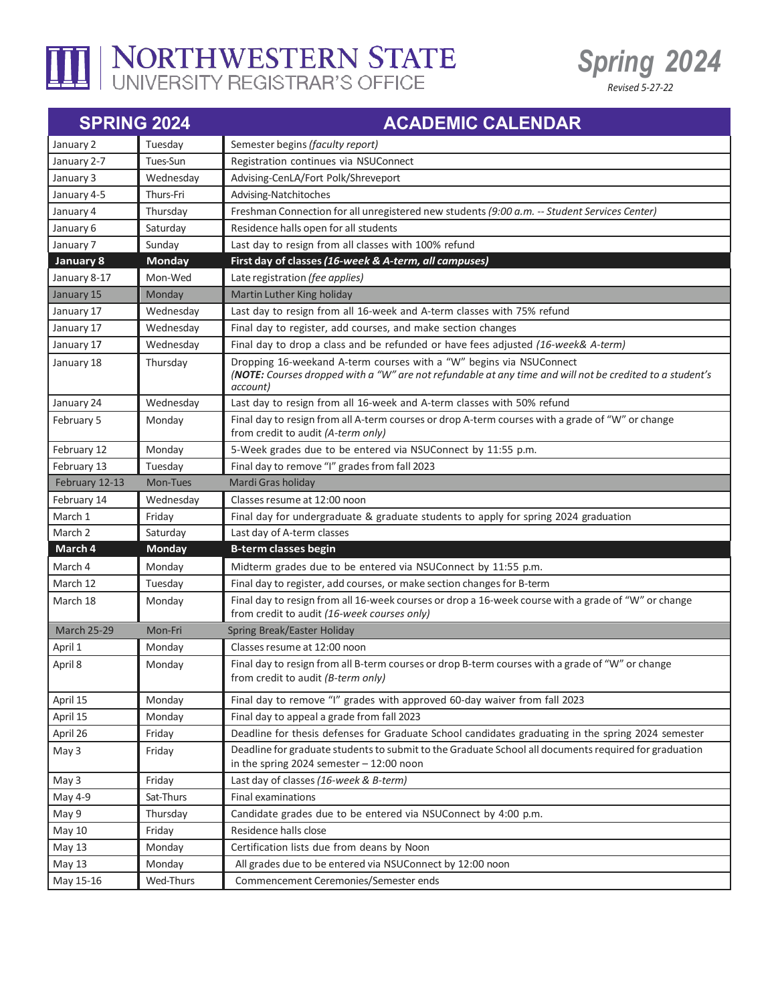

## I NORTHWESTERN STATE



| <b>SPRING 2024</b> |               | <b>ACADEMIC CALENDAR</b>                                                                                                                                                                    |
|--------------------|---------------|---------------------------------------------------------------------------------------------------------------------------------------------------------------------------------------------|
| January 2          | Tuesday       | Semester begins (faculty report)                                                                                                                                                            |
| January 2-7        | Tues-Sun      | Registration continues via NSUConnect                                                                                                                                                       |
| January 3          | Wednesday     | Advising-CenLA/Fort Polk/Shreveport                                                                                                                                                         |
| January 4-5        | Thurs-Fri     | Advising-Natchitoches                                                                                                                                                                       |
| January 4          | Thursday      | Freshman Connection for all unregistered new students (9:00 a.m. -- Student Services Center)                                                                                                |
| January 6          | Saturday      | Residence halls open for all students                                                                                                                                                       |
| January 7          | Sunday        | Last day to resign from all classes with 100% refund                                                                                                                                        |
| <b>January 8</b>   | <b>Monday</b> | First day of classes (16-week & A-term, all campuses)                                                                                                                                       |
| January 8-17       | Mon-Wed       | Late registration (fee applies)                                                                                                                                                             |
| January 15         | Monday        | Martin Luther King holiday                                                                                                                                                                  |
| January 17         | Wednesday     | Last day to resign from all 16-week and A-term classes with 75% refund                                                                                                                      |
| January 17         | Wednesday     | Final day to register, add courses, and make section changes                                                                                                                                |
| January 17         | Wednesday     | Final day to drop a class and be refunded or have fees adjusted (16-week& A-term)                                                                                                           |
| January 18         | Thursday      | Dropping 16-weekand A-term courses with a "W" begins via NSUConnect<br>(NOTE: Courses dropped with a "W" are not refundable at any time and will not be credited to a student's<br>account) |
| January 24         | Wednesday     | Last day to resign from all 16-week and A-term classes with 50% refund                                                                                                                      |
| February 5         | Monday        | Final day to resign from all A-term courses or drop A-term courses with a grade of "W" or change<br>from credit to audit (A-term only)                                                      |
| February 12        | Monday        | 5-Week grades due to be entered via NSUConnect by 11:55 p.m.                                                                                                                                |
| February 13        | Tuesday       | Final day to remove "I" grades from fall 2023                                                                                                                                               |
| February 12-13     | Mon-Tues      | Mardi Gras holiday                                                                                                                                                                          |
| February 14        | Wednesday     | Classes resume at 12:00 noon                                                                                                                                                                |
| March 1            | Friday        | Final day for undergraduate & graduate students to apply for spring 2024 graduation                                                                                                         |
| March 2            | Saturday      | Last day of A-term classes                                                                                                                                                                  |
| March 4            | <b>Monday</b> | <b>B-term classes begin</b>                                                                                                                                                                 |
| March 4            | Monday        | Midterm grades due to be entered via NSUConnect by 11:55 p.m.                                                                                                                               |
| March 12           | Tuesday       | Final day to register, add courses, or make section changes for B-term                                                                                                                      |
| March 18           | Monday        | Final day to resign from all 16-week courses or drop a 16-week course with a grade of "W" or change<br>from credit to audit (16-week courses only)                                          |
| <b>March 25-29</b> | Mon-Fri       | Spring Break/Easter Holiday                                                                                                                                                                 |
| April 1            | Monday        | Classes resume at 12:00 noon                                                                                                                                                                |
| April 8            | Monday        | Final day to resign from all B-term courses or drop B-term courses with a grade of "W" or change<br>from credit to audit (B-term only)                                                      |
| April 15           | Monday        | Final day to remove "I" grades with approved 60-day waiver from fall 2023                                                                                                                   |
| April 15           | Monday        | Final day to appeal a grade from fall 2023                                                                                                                                                  |
| April 26           | Friday        | Deadline for thesis defenses for Graduate School candidates graduating in the spring 2024 semester                                                                                          |
| May 3              | Friday        | Deadline for graduate students to submit to the Graduate School all documents required for graduation<br>in the spring 2024 semester $-12:00$ noon                                          |
| May 3              | Friday        | Last day of classes (16-week & B-term)                                                                                                                                                      |
| May 4-9            | Sat-Thurs     | <b>Final examinations</b>                                                                                                                                                                   |
| May 9              | Thursday      | Candidate grades due to be entered via NSUConnect by 4:00 p.m.                                                                                                                              |
| May 10             | Friday        | Residence halls close                                                                                                                                                                       |
| May 13             | Monday        | Certification lists due from deans by Noon                                                                                                                                                  |
| May 13             | Monday        | All grades due to be entered via NSUConnect by 12:00 noon                                                                                                                                   |
| May 15-16          | Wed-Thurs     | Commencement Ceremonies/Semester ends                                                                                                                                                       |